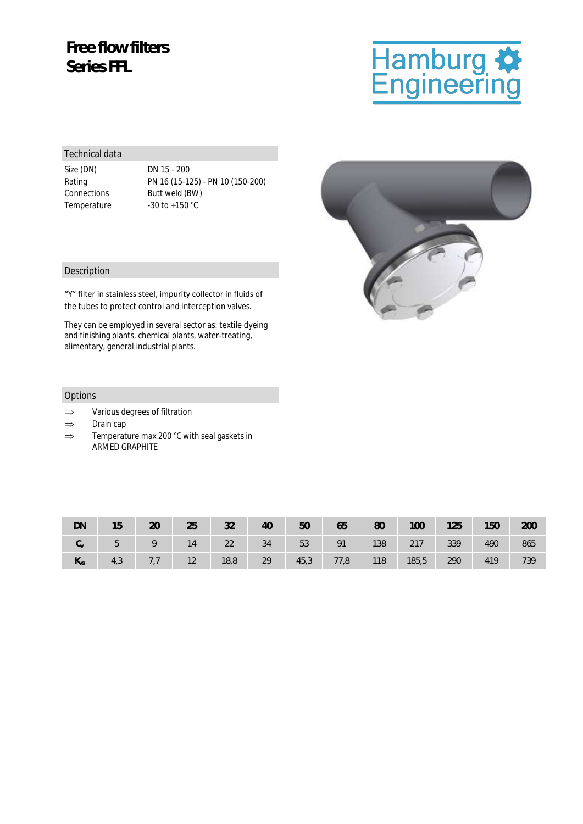## **Free flow filters Series FFL**

### Technical data

Size (DN) DN 15 - 200 Temperature -30 to +150 °C

Rating PN 16 (15-125) - PN 10 (150-200) Connections Butt weld (BW)

#### Description

"Y" filter in stainless steel, impurity collector in fluids of the tubes to protect control and interception valves.

They can be employed in several sector as: textile dyeing and finishing plants, chemical plants, water-treating, alimentary, general industrial plants.

#### Options

- $\Rightarrow$  Various degrees of filtration
- $\Rightarrow$  Drain cap
- $\Rightarrow$  Temperature max 200 °C with seal gaskets in ARMED GRAPHITE

| DN         | 15  | 20  | 25 | 32   | 40 | 50   | 65   | 80  | 100   | 125 | 150 | 200 |
|------------|-----|-----|----|------|----|------|------|-----|-------|-----|-----|-----|
| $C_{\vee}$ | 5   |     | 14 | 22   | 34 | 53   | 91   | 138 | 217   | 339 | 490 | 865 |
| $K_{VS}$   | 4,3 | 7,7 | 12 | 18,8 | 29 | 45,3 | 77,8 | 118 | 185,5 | 290 | 419 | 739 |